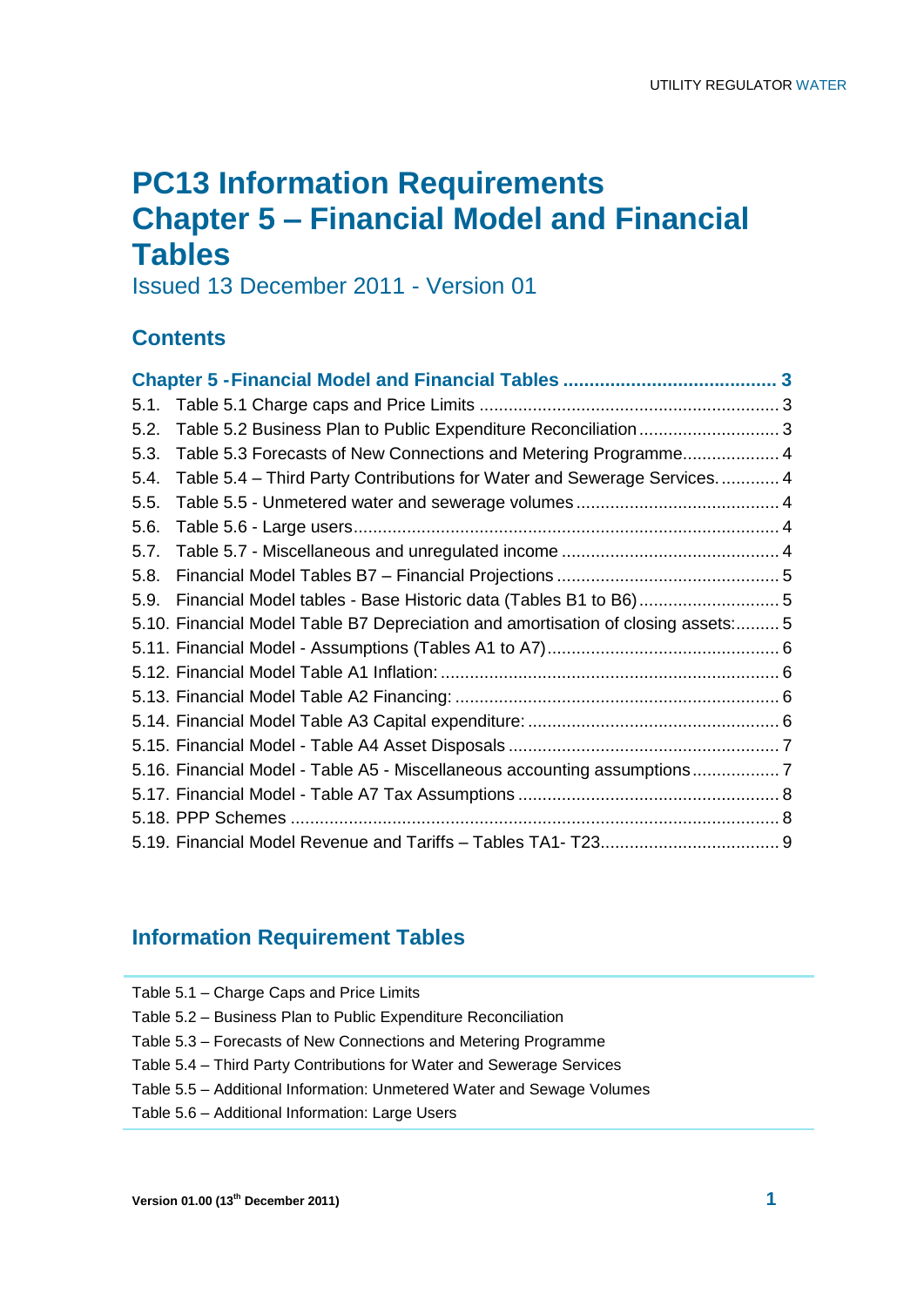## **PC13 Information Requirements Chapter 5 – Financial Model and Financial Tables**

Issued 13 December 2011 - Version 01

## **Contents**

| 5.1. |                                                                                   |  |
|------|-----------------------------------------------------------------------------------|--|
| 5.2. | Table 5.2 Business Plan to Public Expenditure Reconciliation  3                   |  |
| 5.3. | Table 5.3 Forecasts of New Connections and Metering Programme 4                   |  |
| 5.4. | Table 5.4 – Third Party Contributions for Water and Sewerage Services 4           |  |
| 5.5. |                                                                                   |  |
| 5.6. |                                                                                   |  |
| 5.7. |                                                                                   |  |
| 5.8. |                                                                                   |  |
| 5.9. | Financial Model tables - Base Historic data (Tables B1 to B6)5                    |  |
|      | 5.10. Financial Model Table B7 Depreciation and amortisation of closing assets: 5 |  |
|      |                                                                                   |  |
|      |                                                                                   |  |
|      |                                                                                   |  |
|      |                                                                                   |  |
|      |                                                                                   |  |
|      | 5.16. Financial Model - Table A5 - Miscellaneous accounting assumptions7          |  |
|      |                                                                                   |  |
|      |                                                                                   |  |
|      |                                                                                   |  |

## **Information Requirement Tables**

| Table 5.1 - Charge Caps and Price Limits                               |
|------------------------------------------------------------------------|
| Table 5.2 – Business Plan to Public Expenditure Reconciliation         |
| Table 5.3 – Forecasts of New Connections and Metering Programme        |
| Table 5.4 – Third Party Contributions for Water and Sewerage Services  |
| Table 5.5 – Additional Information: Unmetered Water and Sewage Volumes |
| Table 5.6 - Additional Information: Large Users                        |
|                                                                        |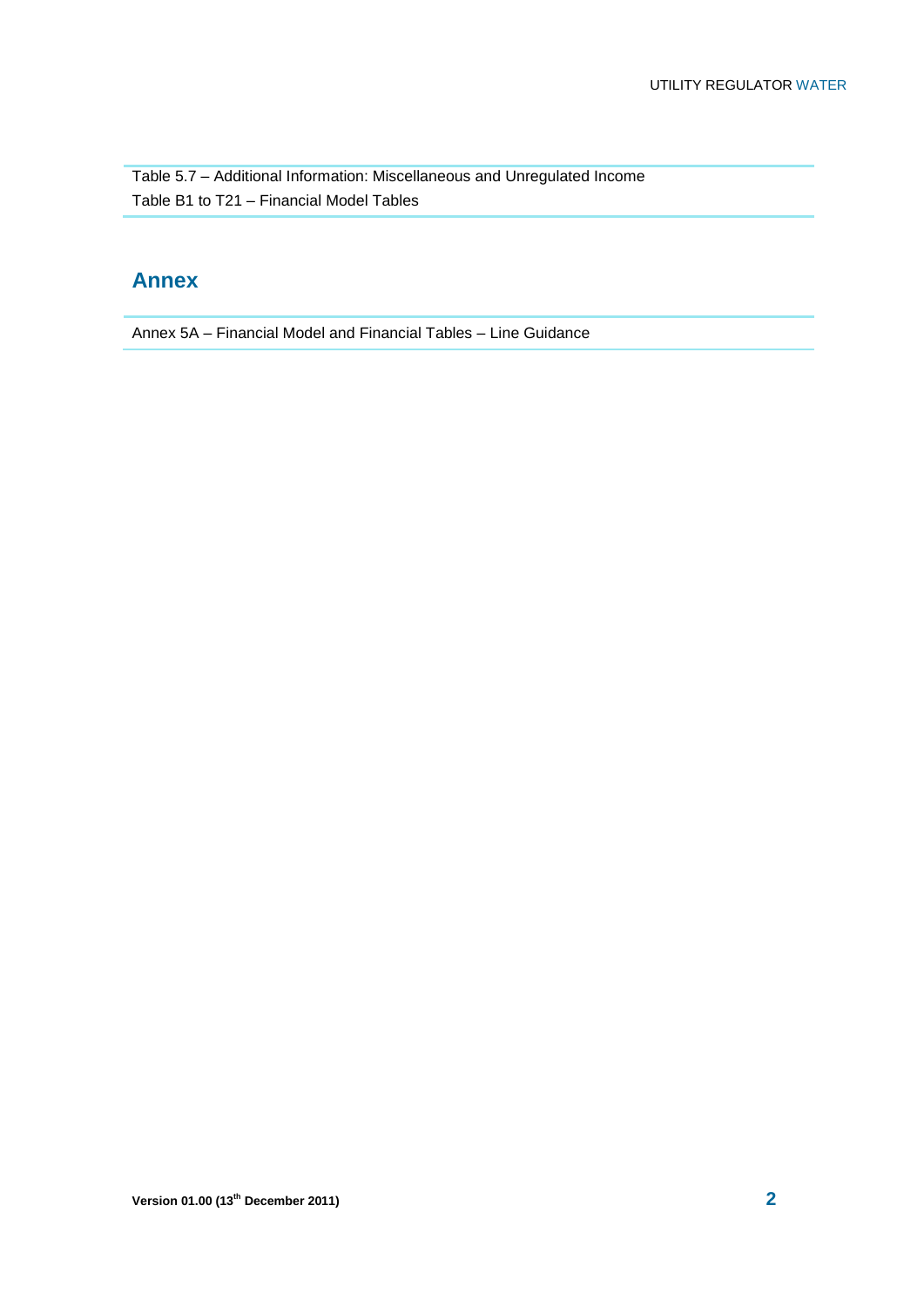Table 5.7 – Additional Information: Miscellaneous and Unregulated Income Table B1 to T21 – Financial Model Tables

## **Annex**

Annex 5A – Financial Model and Financial Tables – Line Guidance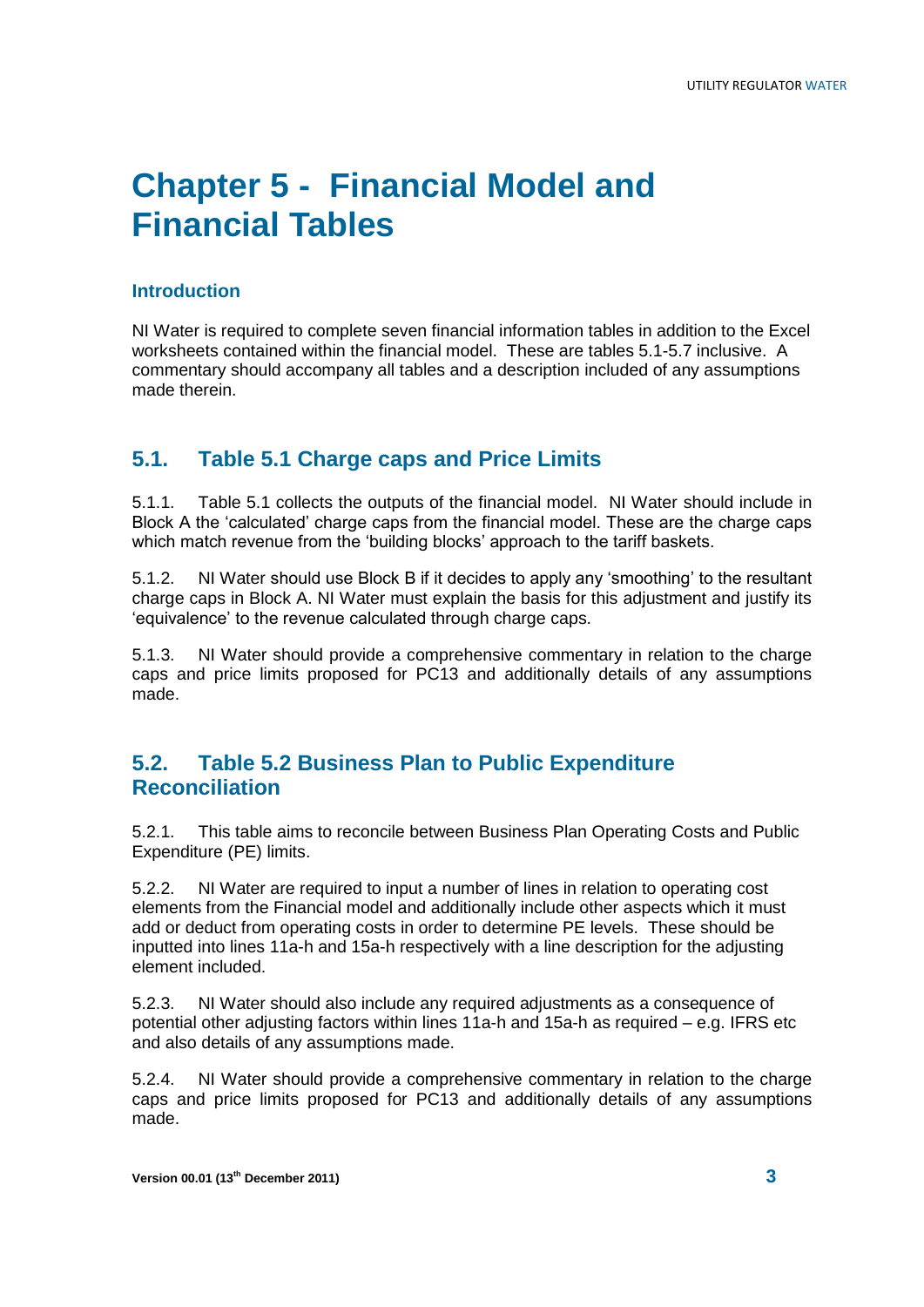# **Chapter 5 - Financial Model and Financial Tables**

#### **Introduction**

NI Water is required to complete seven financial information tables in addition to the Excel worksheets contained within the financial model. These are tables 5.1-5.7 inclusive. A commentary should accompany all tables and a description included of any assumptions made therein.

#### **5.1. Table 5.1 Charge caps and Price Limits**

5.1.1. Table 5.1 collects the outputs of the financial model. NI Water should include in Block A the 'calculated' charge caps from the financial model. These are the charge caps which match revenue from the 'building blocks' approach to the tariff baskets.

5.1.2. NI Water should use Block B if it decides to apply any 'smoothing' to the resultant charge caps in Block A. NI Water must explain the basis for this adjustment and justify its 'equivalence' to the revenue calculated through charge caps.

5.1.3. NI Water should provide a comprehensive commentary in relation to the charge caps and price limits proposed for PC13 and additionally details of any assumptions made.

#### **5.2. Table 5.2 Business Plan to Public Expenditure Reconciliation**

5.2.1. This table aims to reconcile between Business Plan Operating Costs and Public Expenditure (PE) limits.

5.2.2. NI Water are required to input a number of lines in relation to operating cost elements from the Financial model and additionally include other aspects which it must add or deduct from operating costs in order to determine PE levels. These should be inputted into lines 11a-h and 15a-h respectively with a line description for the adjusting element included.

5.2.3. NI Water should also include any required adjustments as a consequence of potential other adjusting factors within lines 11a-h and 15a-h as required – e.g. IFRS etc and also details of any assumptions made.

5.2.4. NI Water should provide a comprehensive commentary in relation to the charge caps and price limits proposed for PC13 and additionally details of any assumptions made.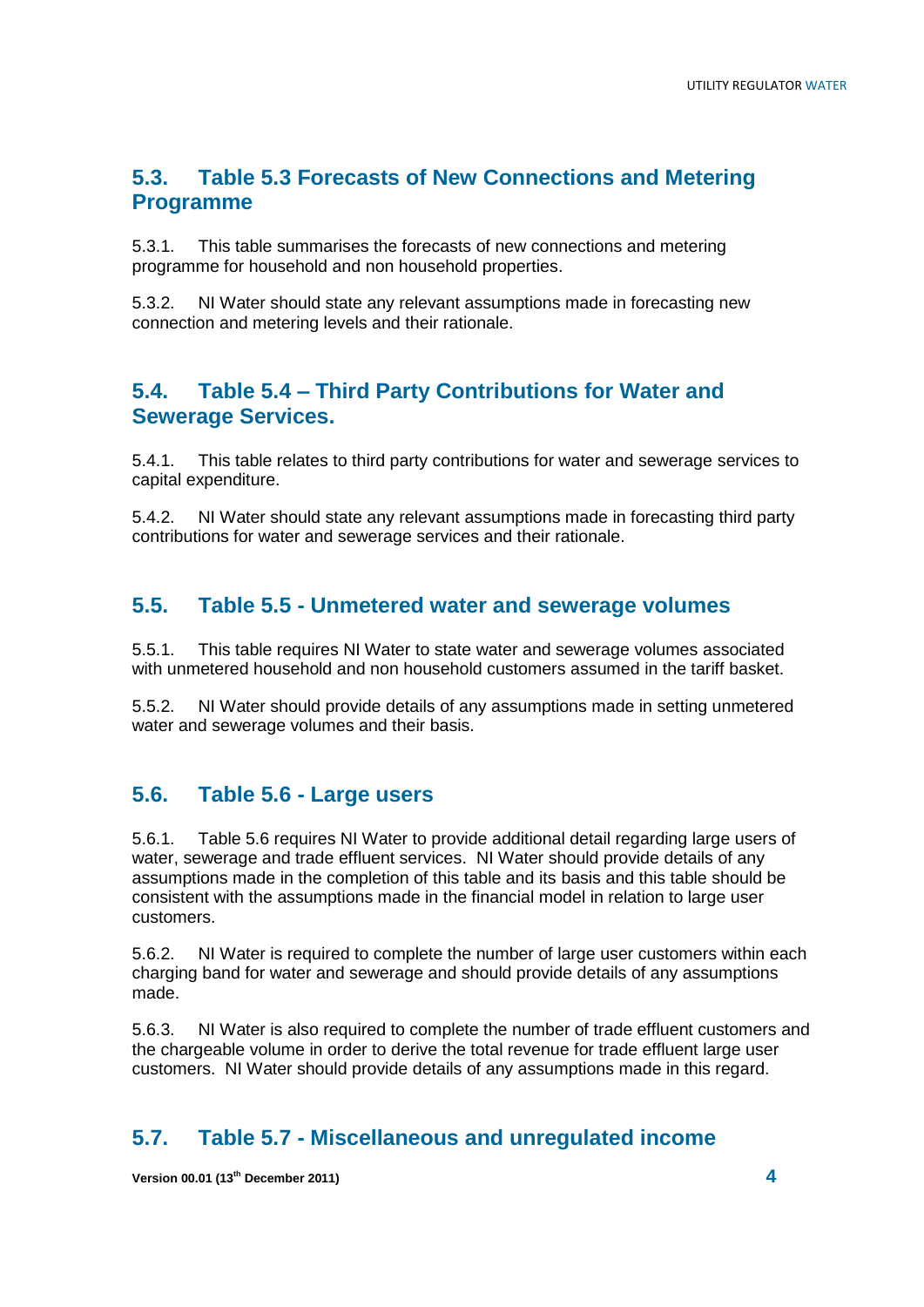### **5.3. Table 5.3 Forecasts of New Connections and Metering Programme**

5.3.1. This table summarises the forecasts of new connections and metering programme for household and non household properties.

5.3.2. NI Water should state any relevant assumptions made in forecasting new connection and metering levels and their rationale.

#### **5.4. Table 5.4 – Third Party Contributions for Water and Sewerage Services.**

5.4.1. This table relates to third party contributions for water and sewerage services to capital expenditure.

5.4.2. NI Water should state any relevant assumptions made in forecasting third party contributions for water and sewerage services and their rationale.

#### **5.5. Table 5.5 - Unmetered water and sewerage volumes**

5.5.1. This table requires NI Water to state water and sewerage volumes associated with unmetered household and non household customers assumed in the tariff basket.

5.5.2. NI Water should provide details of any assumptions made in setting unmetered water and sewerage volumes and their basis.

#### **5.6. Table 5.6 - Large users**

5.6.1. Table 5.6 requires NI Water to provide additional detail regarding large users of water, sewerage and trade effluent services. NI Water should provide details of any assumptions made in the completion of this table and its basis and this table should be consistent with the assumptions made in the financial model in relation to large user customers.

5.6.2. NI Water is required to complete the number of large user customers within each charging band for water and sewerage and should provide details of any assumptions made.

5.6.3. NI Water is also required to complete the number of trade effluent customers and the chargeable volume in order to derive the total revenue for trade effluent large user customers. NI Water should provide details of any assumptions made in this regard.

#### **5.7. Table 5.7 - Miscellaneous and unregulated income**

**Version 00.01 (13th December 2011) 4**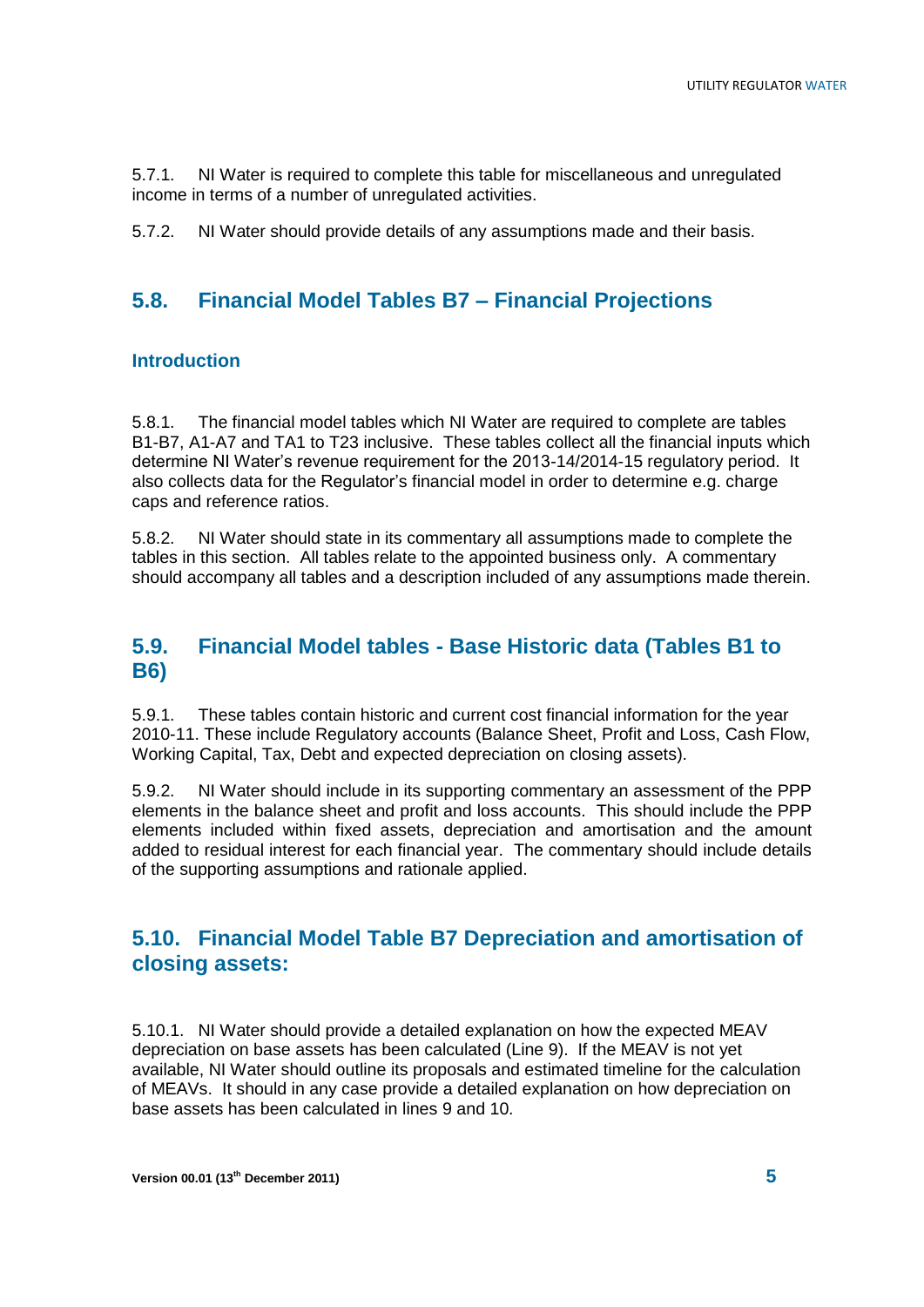5.7.1. NI Water is required to complete this table for miscellaneous and unregulated income in terms of a number of unregulated activities.

5.7.2. NI Water should provide details of any assumptions made and their basis.

## **5.8. Financial Model Tables B7 – Financial Projections**

#### **Introduction**

5.8.1. The financial model tables which NI Water are required to complete are tables B1-B7, A1-A7 and TA1 to T23 inclusive. These tables collect all the financial inputs which determine NI Water's revenue requirement for the 2013-14/2014-15 regulatory period. It also collects data for the Regulator's financial model in order to determine e.g. charge caps and reference ratios.

5.8.2. NI Water should state in its commentary all assumptions made to complete the tables in this section. All tables relate to the appointed business only. A commentary should accompany all tables and a description included of any assumptions made therein.

#### **5.9. Financial Model tables - Base Historic data (Tables B1 to B6)**

5.9.1. These tables contain historic and current cost financial information for the year 2010-11. These include Regulatory accounts (Balance Sheet, Profit and Loss, Cash Flow, Working Capital, Tax, Debt and expected depreciation on closing assets).

5.9.2. NI Water should include in its supporting commentary an assessment of the PPP elements in the balance sheet and profit and loss accounts. This should include the PPP elements included within fixed assets, depreciation and amortisation and the amount added to residual interest for each financial year. The commentary should include details of the supporting assumptions and rationale applied.

#### **5.10. Financial Model Table B7 Depreciation and amortisation of closing assets:**

5.10.1. NI Water should provide a detailed explanation on how the expected MEAV depreciation on base assets has been calculated (Line 9). If the MEAV is not yet available, NI Water should outline its proposals and estimated timeline for the calculation of MEAVs. It should in any case provide a detailed explanation on how depreciation on base assets has been calculated in lines 9 and 10.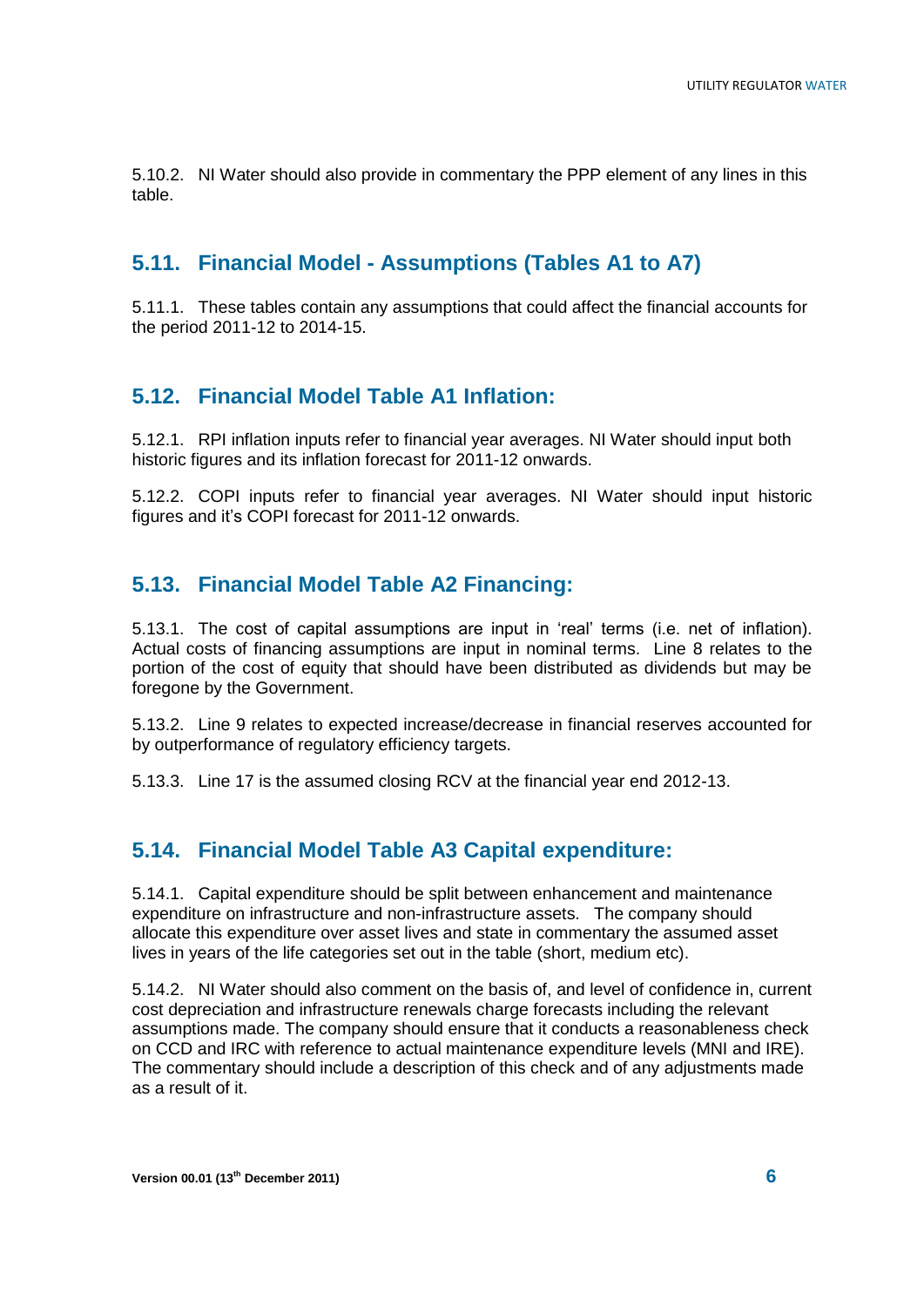5.10.2. NI Water should also provide in commentary the PPP element of any lines in this table.

### **5.11. Financial Model - Assumptions (Tables A1 to A7)**

5.11.1. These tables contain any assumptions that could affect the financial accounts for the period 2011-12 to 2014-15.

## **5.12. Financial Model Table A1 Inflation:**

5.12.1. RPI inflation inputs refer to financial year averages. NI Water should input both historic figures and its inflation forecast for 2011-12 onwards.

5.12.2. COPI inputs refer to financial year averages. NI Water should input historic figures and it's COPI forecast for 2011-12 onwards.

## **5.13. Financial Model Table A2 Financing:**

5.13.1. The cost of capital assumptions are input in 'real' terms (i.e. net of inflation). Actual costs of financing assumptions are input in nominal terms. Line 8 relates to the portion of the cost of equity that should have been distributed as dividends but may be foregone by the Government.

5.13.2. Line 9 relates to expected increase/decrease in financial reserves accounted for by outperformance of regulatory efficiency targets.

5.13.3. Line 17 is the assumed closing RCV at the financial year end 2012-13.

## **5.14. Financial Model Table A3 Capital expenditure:**

5.14.1. Capital expenditure should be split between enhancement and maintenance expenditure on infrastructure and non-infrastructure assets. The company should allocate this expenditure over asset lives and state in commentary the assumed asset lives in years of the life categories set out in the table (short, medium etc).

5.14.2. NI Water should also comment on the basis of, and level of confidence in, current cost depreciation and infrastructure renewals charge forecasts including the relevant assumptions made. The company should ensure that it conducts a reasonableness check on CCD and IRC with reference to actual maintenance expenditure levels (MNI and IRE). The commentary should include a description of this check and of any adjustments made as a result of it.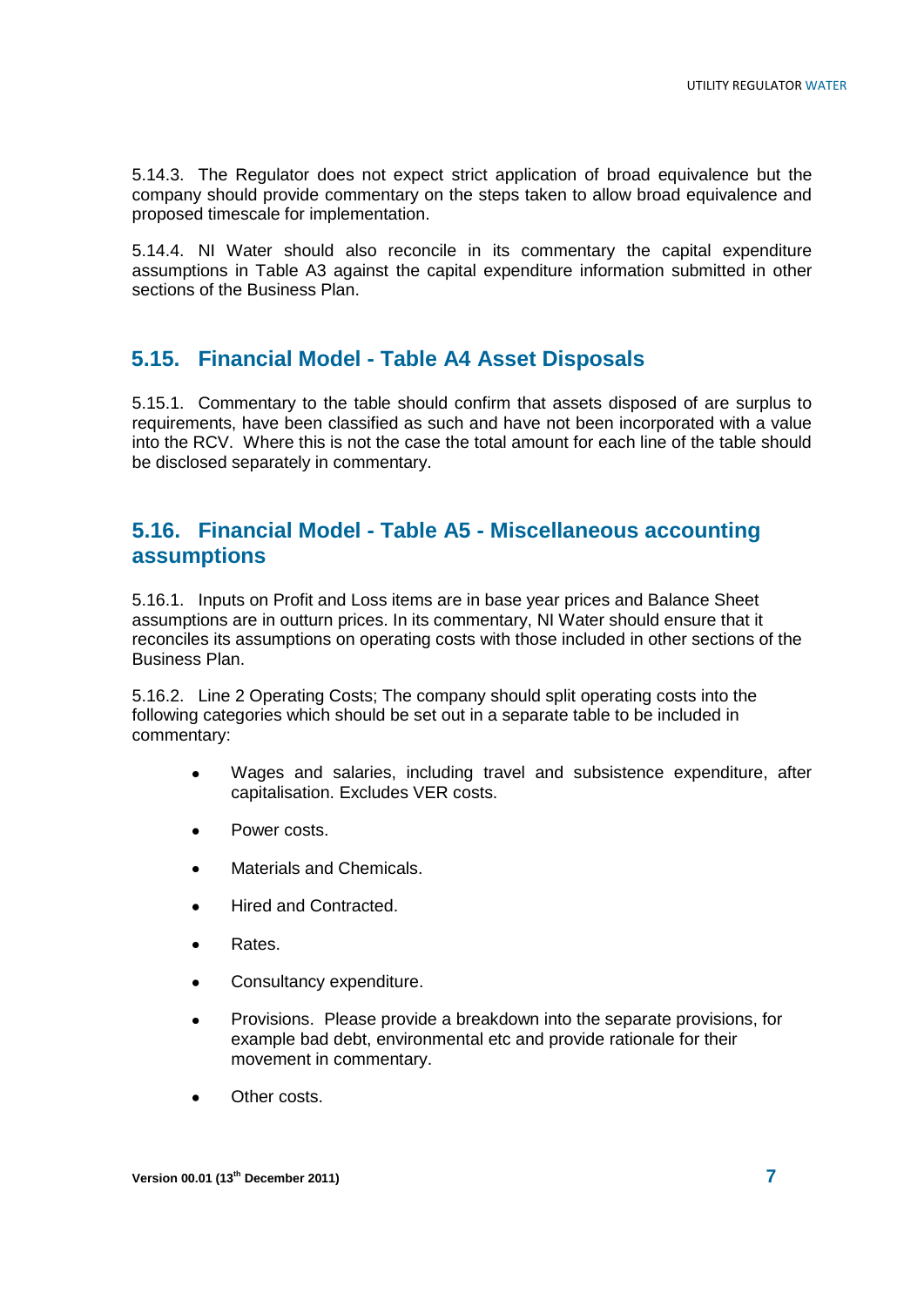5.14.3. The Regulator does not expect strict application of broad equivalence but the company should provide commentary on the steps taken to allow broad equivalence and proposed timescale for implementation.

5.14.4. NI Water should also reconcile in its commentary the capital expenditure assumptions in Table A3 against the capital expenditure information submitted in other sections of the Business Plan.

#### **5.15. Financial Model - Table A4 Asset Disposals**

5.15.1. Commentary to the table should confirm that assets disposed of are surplus to requirements, have been classified as such and have not been incorporated with a value into the RCV. Where this is not the case the total amount for each line of the table should be disclosed separately in commentary.

#### **5.16. Financial Model - Table A5 - Miscellaneous accounting assumptions**

5.16.1. Inputs on Profit and Loss items are in base year prices and Balance Sheet assumptions are in outturn prices. In its commentary, NI Water should ensure that it reconciles its assumptions on operating costs with those included in other sections of the Business Plan.

5.16.2. Line 2 Operating Costs; The company should split operating costs into the following categories which should be set out in a separate table to be included in commentary:

- Wages and salaries, including travel and subsistence expenditure, after capitalisation. Excludes VER costs.
- Power costs.
- Materials and Chemicals.
- Hired and Contracted.
- Rates.
- Consultancy expenditure.
- Provisions. Please provide a breakdown into the separate provisions, for example bad debt, environmental etc and provide rationale for their movement in commentary.
- Other costs.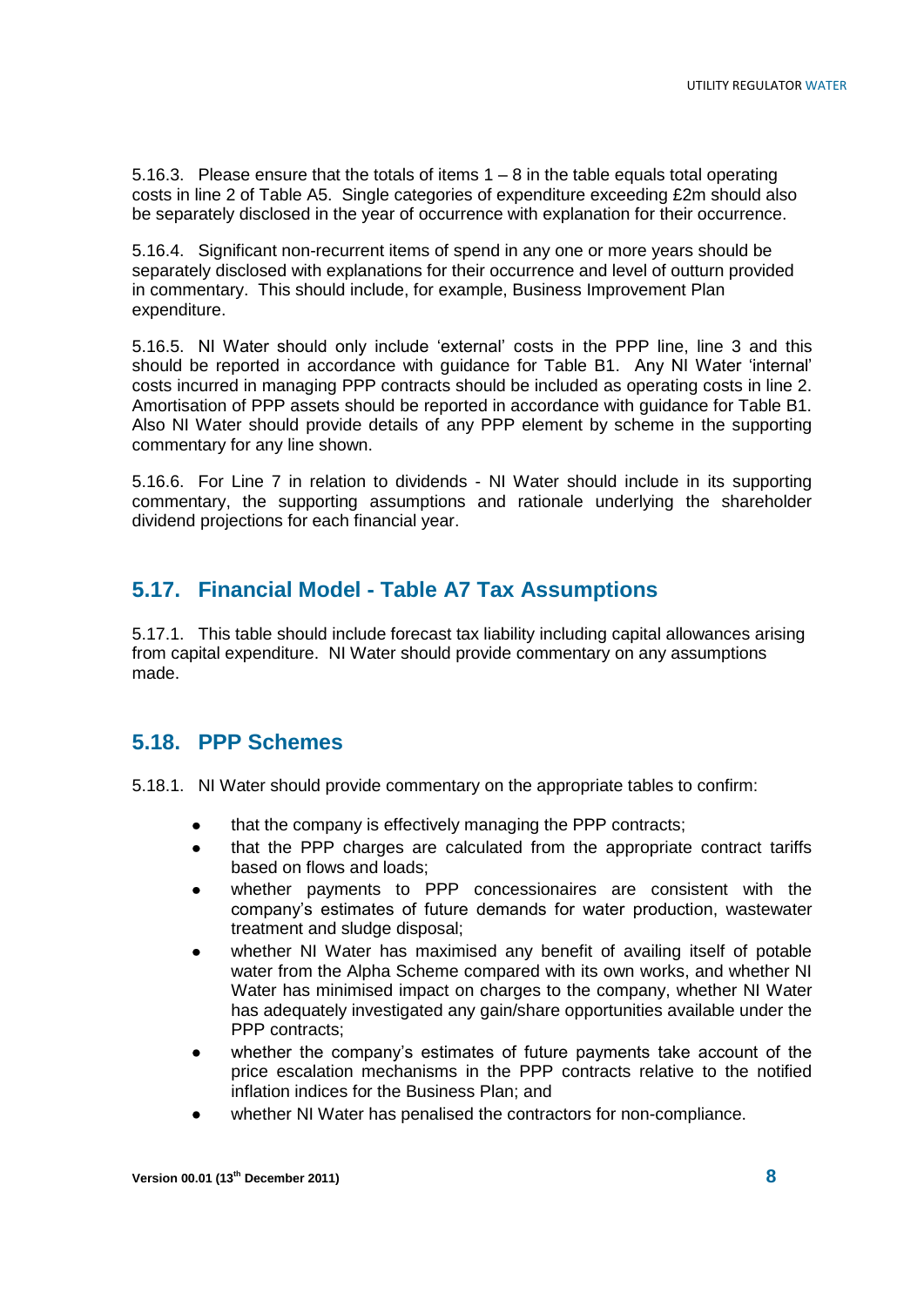5.16.3. Please ensure that the totals of items 1 – 8 in the table equals total operating costs in line 2 of Table A5. Single categories of expenditure exceeding £2m should also be separately disclosed in the year of occurrence with explanation for their occurrence.

5.16.4. Significant non-recurrent items of spend in any one or more years should be separately disclosed with explanations for their occurrence and level of outturn provided in commentary. This should include, for example, Business Improvement Plan expenditure.

5.16.5. NI Water should only include 'external' costs in the PPP line, line 3 and this should be reported in accordance with guidance for Table B1. Any NI Water 'internal' costs incurred in managing PPP contracts should be included as operating costs in line 2. Amortisation of PPP assets should be reported in accordance with guidance for Table B1. Also NI Water should provide details of any PPP element by scheme in the supporting commentary for any line shown.

5.16.6. For Line 7 in relation to dividends - NI Water should include in its supporting commentary, the supporting assumptions and rationale underlying the shareholder dividend projections for each financial year.

## **5.17. Financial Model - Table A7 Tax Assumptions**

5.17.1. This table should include forecast tax liability including capital allowances arising from capital expenditure. NI Water should provide commentary on any assumptions made.

#### **5.18. PPP Schemes**

5.18.1. NI Water should provide commentary on the appropriate tables to confirm:

- that the company is effectively managing the PPP contracts;
- that the PPP charges are calculated from the appropriate contract tariffs based on flows and loads;
- whether payments to PPP concessionaires are consistent with the company's estimates of future demands for water production, wastewater treatment and sludge disposal;
- whether NI Water has maximised any benefit of availing itself of potable water from the Alpha Scheme compared with its own works, and whether NI Water has minimised impact on charges to the company, whether NI Water has adequately investigated any gain/share opportunities available under the PPP contracts:
- whether the company's estimates of future payments take account of the  $\bullet$ price escalation mechanisms in the PPP contracts relative to the notified inflation indices for the Business Plan; and
- whether NI Water has penalised the contractors for non-compliance.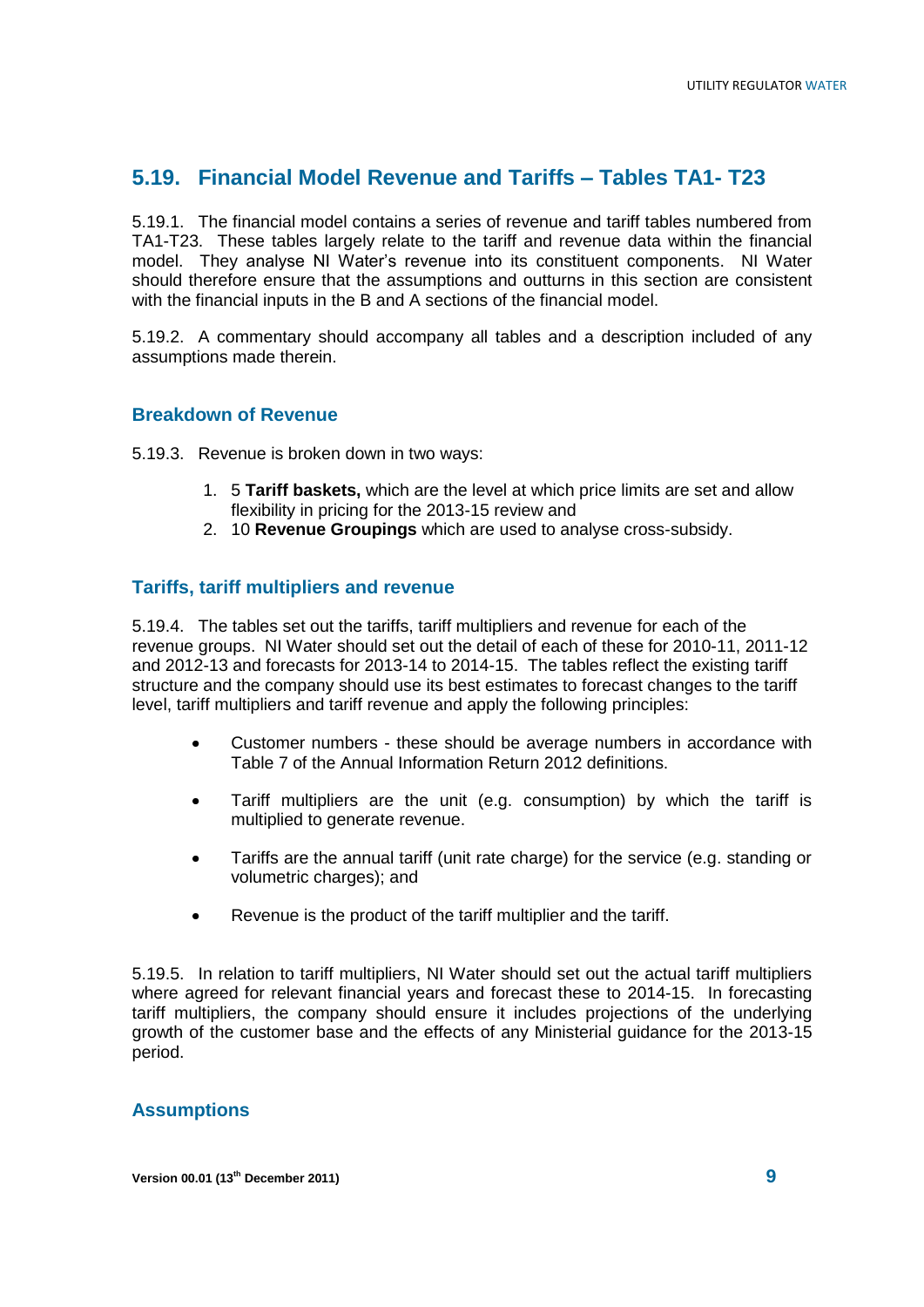## **5.19. Financial Model Revenue and Tariffs – Tables TA1- T23**

5.19.1. The financial model contains a series of revenue and tariff tables numbered from TA1-T23. These tables largely relate to the tariff and revenue data within the financial model. They analyse NI Water's revenue into its constituent components. NI Water should therefore ensure that the assumptions and outturns in this section are consistent with the financial inputs in the B and A sections of the financial model.

5.19.2. A commentary should accompany all tables and a description included of any assumptions made therein.

#### **Breakdown of Revenue**

5.19.3. Revenue is broken down in two ways:

- 1. 5 **Tariff baskets,** which are the level at which price limits are set and allow flexibility in pricing for the 2013-15 review and
- 2. 10 **Revenue Groupings** which are used to analyse cross-subsidy.

#### **Tariffs, tariff multipliers and revenue**

5.19.4. The tables set out the tariffs, tariff multipliers and revenue for each of the revenue groups. NI Water should set out the detail of each of these for 2010-11, 2011-12 and 2012-13 and forecasts for 2013-14 to 2014-15. The tables reflect the existing tariff structure and the company should use its best estimates to forecast changes to the tariff level, tariff multipliers and tariff revenue and apply the following principles:

- Customer numbers these should be average numbers in accordance with  $\bullet$ Table 7 of the Annual Information Return 2012 definitions.
- Tariff multipliers are the unit (e.g. consumption) by which the tariff is  $\bullet$ multiplied to generate revenue.
- Tariffs are the annual tariff (unit rate charge) for the service (e.g. standing or volumetric charges); and
- Revenue is the product of the tariff multiplier and the tariff.  $\bullet$

5.19.5. In relation to tariff multipliers, NI Water should set out the actual tariff multipliers where agreed for relevant financial years and forecast these to 2014-15. In forecasting tariff multipliers, the company should ensure it includes projections of the underlying growth of the customer base and the effects of any Ministerial guidance for the 2013-15 period.

#### **Assumptions**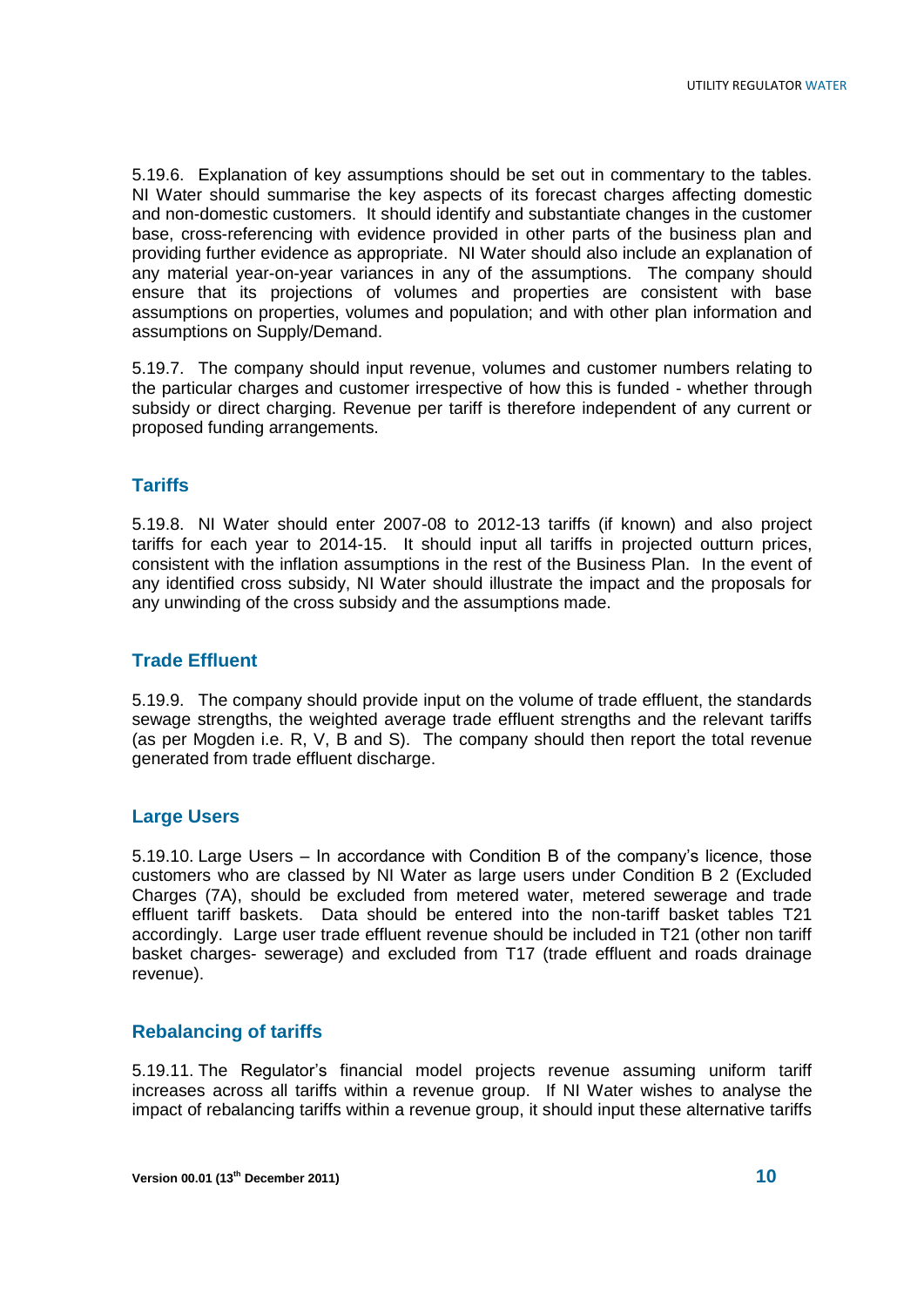5.19.6. Explanation of key assumptions should be set out in commentary to the tables. NI Water should summarise the key aspects of its forecast charges affecting domestic and non-domestic customers. It should identify and substantiate changes in the customer base, cross-referencing with evidence provided in other parts of the business plan and providing further evidence as appropriate. NI Water should also include an explanation of any material year-on-year variances in any of the assumptions. The company should ensure that its projections of volumes and properties are consistent with base assumptions on properties, volumes and population; and with other plan information and assumptions on Supply/Demand.

5.19.7. The company should input revenue, volumes and customer numbers relating to the particular charges and customer irrespective of how this is funded - whether through subsidy or direct charging. Revenue per tariff is therefore independent of any current or proposed funding arrangements.

#### **Tariffs**

5.19.8. NI Water should enter 2007-08 to 2012-13 tariffs (if known) and also project tariffs for each year to 2014-15. It should input all tariffs in projected outturn prices, consistent with the inflation assumptions in the rest of the Business Plan. In the event of any identified cross subsidy, NI Water should illustrate the impact and the proposals for any unwinding of the cross subsidy and the assumptions made.

#### **Trade Effluent**

5.19.9. The company should provide input on the volume of trade effluent, the standards sewage strengths, the weighted average trade effluent strengths and the relevant tariffs (as per Mogden i.e. R, V, B and S). The company should then report the total revenue generated from trade effluent discharge.

#### **Large Users**

5.19.10. Large Users – In accordance with Condition B of the company's licence, those customers who are classed by NI Water as large users under Condition B 2 (Excluded Charges (7A), should be excluded from metered water, metered sewerage and trade effluent tariff baskets. Data should be entered into the non-tariff basket tables T21 accordingly. Large user trade effluent revenue should be included in T21 (other non tariff basket charges- sewerage) and excluded from T17 (trade effluent and roads drainage revenue).

#### **Rebalancing of tariffs**

5.19.11. The Regulator's financial model projects revenue assuming uniform tariff increases across all tariffs within a revenue group. If NI Water wishes to analyse the impact of rebalancing tariffs within a revenue group, it should input these alternative tariffs